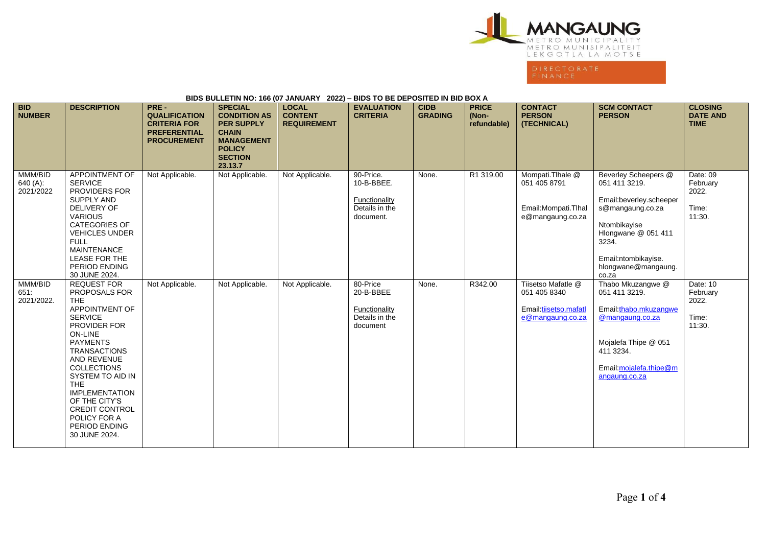

## **BIDS BULLETIN NO: 166 (07 JANUARY 2022) – BIDS TO BE DEPOSITED IN BID BOX A**

| <b>BID</b><br><b>NUMBER</b>      | <b>DESCRIPTION</b>                                                                                                                                                                                                                                                                                                                               | PRE-<br><b>QUALIFICATION</b><br><b>CRITERIA FOR</b><br><b>PREFERENTIAL</b><br><b>PROCUREMENT</b> | <b>SPECIAL</b><br><b>CONDITION AS</b><br><b>PER SUPPLY</b><br><b>CHAIN</b><br><b>MANAGEMENT</b><br><b>POLICY</b><br><b>SECTION</b><br>23.13.7 | <b>LOCAL</b><br><b>CONTENT</b><br><b>REQUIREMENT</b> | <b>EVALUATION</b><br><b>CRITERIA</b>                                    | <b>CIDB</b><br><b>GRADING</b> | <b>PRICE</b><br>(Non-<br>refundable) | <b>CONTACT</b><br><b>PERSON</b><br>(TECHNICAL)                                  | <b>SCM CONTACT</b><br><b>PERSON</b>                                                                                                                                                         | <b>CLOSING</b><br><b>DATE AND</b><br><b>TIME</b> |
|----------------------------------|--------------------------------------------------------------------------------------------------------------------------------------------------------------------------------------------------------------------------------------------------------------------------------------------------------------------------------------------------|--------------------------------------------------------------------------------------------------|-----------------------------------------------------------------------------------------------------------------------------------------------|------------------------------------------------------|-------------------------------------------------------------------------|-------------------------------|--------------------------------------|---------------------------------------------------------------------------------|---------------------------------------------------------------------------------------------------------------------------------------------------------------------------------------------|--------------------------------------------------|
| MMM/BID<br>640 (A):<br>2021/2022 | <b>APPOINTMENT OF</b><br><b>SERVICE</b><br><b>PROVIDERS FOR</b><br><b>SUPPLY AND</b><br><b>DELIVERY OF</b><br><b>VARIOUS</b><br><b>CATEGORIES OF</b><br><b>VEHICLES UNDER</b><br><b>FULL</b><br><b>MAINTENANCE</b><br>LEASE FOR THE<br>PERIOD ENDING<br>30 JUNE 2024.                                                                            | Not Applicable.                                                                                  | Not Applicable.                                                                                                                               | Not Applicable.                                      | 90-Price.<br>10-B-BBEE.<br>Functionality<br>Details in the<br>document. | None.                         | R1 319.00                            | Mompati.Tlhale @<br>051 405 8791<br>Email: Mompati. Thal<br>e@mangaung.co.za    | Beverley Scheepers @<br>051 411 3219.<br>Email:beverley.scheeper<br>s@mangaung.co.za<br>Ntombikayise<br>Hlongwane @ 051 411<br>3234.<br>Email:ntombikayise.<br>hlongwane@mangaung.<br>co.za | Date: 09<br>February<br>2022.<br>Time:<br>11:30. |
| MMM/BID<br>651.<br>2021/2022.    | <b>REQUEST FOR</b><br>PROPOSALS FOR<br>THE.<br>APPOINTMENT OF<br><b>SERVICE</b><br><b>PROVIDER FOR</b><br>ON-LINE<br><b>PAYMENTS</b><br><b>TRANSACTIONS</b><br>AND REVENUE<br><b>COLLECTIONS</b><br>SYSTEM TO AID IN<br><b>THE</b><br><b>IMPLEMENTATION</b><br>OF THE CITY'S<br>CREDIT CONTROL<br>POLICY FOR A<br>PERIOD ENDING<br>30 JUNE 2024. | Not Applicable.                                                                                  | Not Applicable.                                                                                                                               | Not Applicable.                                      | 80-Price<br>20-B-BBEE<br>Functionality<br>Details in the<br>document    | None.                         | R342.00                              | Tiisetso Mafatle @<br>051 405 8340<br>Email:tiisetso.mafatl<br>e@mangaung.co.za | Thabo Mkuzangwe @<br>051 411 3219.<br>Email:thabo.mkuzangwe<br>@mangaung.co.za<br>Mojalefa Thipe @ 051<br>411 3234.<br>Email: mojalefa.thipe@m<br>angaung.co.za                             | Date: 10<br>February<br>2022.<br>Time:<br>11:30. |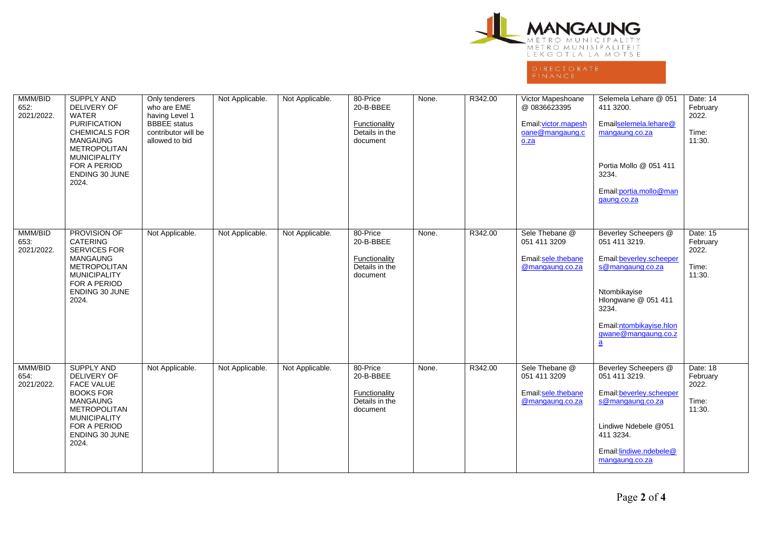

| MMM/BID<br>652:<br>2021/2022. | SUPPLY AND<br>DELIVERY OF<br><b>WATER</b><br><b>PURIFICATION</b><br><b>CHEMICALS FOR</b><br><b>MANGAUNG</b><br><b>METROPOLITAN</b><br><b>MUNICIPALITY</b><br>FOR A PERIOD<br>ENDING 30 JUNE<br>2024. | Only tenderers<br>who are EME<br>having Level 1<br><b>BBBEE</b> status<br>contributor will be<br>allowed to bid | Not Applicable. | Not Applicable. | 80-Price<br>20-B-BBEE<br><b>Functionality</b><br>Details in the<br>document | None. | R342.00 | Victor Mapeshoane<br>@ 0836623395<br>Email: victor.mapesh<br>oane@mangaung.c<br>0.2a | Selemela Lehare @ 051<br>411 3200.<br>Emailselemela.lehare@<br>mangaung.co.za<br>Portia Mollo @ 051 411<br>3234.<br>Email: portia.mollo@man<br>gaung.co.za                                                         | Date: 14<br>February<br>2022.<br>Time:<br>11:30. |
|-------------------------------|------------------------------------------------------------------------------------------------------------------------------------------------------------------------------------------------------|-----------------------------------------------------------------------------------------------------------------|-----------------|-----------------|-----------------------------------------------------------------------------|-------|---------|--------------------------------------------------------------------------------------|--------------------------------------------------------------------------------------------------------------------------------------------------------------------------------------------------------------------|--------------------------------------------------|
| MMM/BID<br>653.<br>2021/2022. | PROVISION OF<br><b>CATERING</b><br><b>SERVICES FOR</b><br><b>MANGAUNG</b><br><b>METROPOLITAN</b><br><b>MUNICIPALITY</b><br>FOR A PERIOD<br>ENDING 30 JUNE<br>2024.                                   | Not Applicable.                                                                                                 | Not Applicable. | Not Applicable. | 80-Price<br>20-B-BBEE<br>Functionality<br>Details in the<br>document        | None. | R342.00 | Sele Thebane @<br>051 411 3209<br>Email:sele.thebane<br>@mangaung.co.za              | Beverley Scheepers @<br>051 411 3219.<br>Email:beverley.scheeper<br>s@mangaung.co.za<br>Ntombikayise<br>Hlongwane @ 051 411<br>3234.<br>Email:ntombikayise.hlon<br>gwane@mangaung.co.z<br>$\underline{\mathbf{a}}$ | Date: 15<br>February<br>2022.<br>Time:<br>11:30. |
| MMM/BID<br>654.<br>2021/2022. | <b>SUPPLY AND</b><br>DELIVERY OF<br><b>FACE VALUE</b><br><b>BOOKS FOR</b><br><b>MANGAUNG</b><br><b>METROPOLITAN</b><br><b>MUNICIPALITY</b><br>FOR A PERIOD<br><b>ENDING 30 JUNE</b><br>2024.         | Not Applicable.                                                                                                 | Not Applicable. | Not Applicable. | 80-Price<br>20-B-BBEE<br>Functionality<br>Details in the<br>document        | None. | R342.00 | Sele Thebane @<br>051 411 3209<br>Email: sele.thebane<br>@mangaung.co.za             | Beverley Scheepers @<br>051 411 3219.<br>Email: beverley.scheeper<br>s@mangaung.co.za<br>Lindiwe Ndebele @051<br>411 3234.<br>Email.lindiwe.ndebele@<br>mangaung.co.za                                             | Date: 18<br>February<br>2022.<br>Time:<br>11:30. |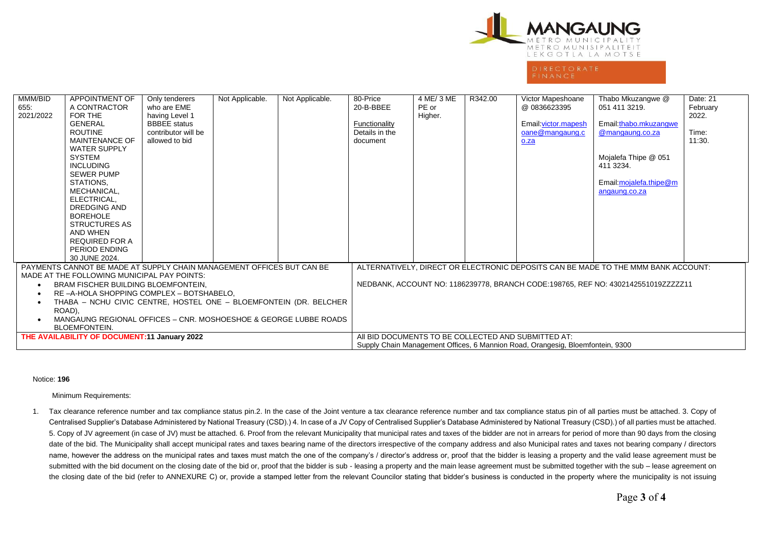

FINANCE

| MMM/BID<br>655.<br>2021/2022                                                                                                                                                                                                                                                                                                                                                       | <b>APPOINTMENT OF</b><br>A CONTRACTOR<br>FOR THE<br>GENERAL<br><b>ROUTINE</b><br><b>MAINTENANCE OF</b><br><b>WATER SUPPLY</b><br>SYSTEM<br><b>INCLUDING</b><br><b>SEWER PUMP</b><br>STATIONS,<br>MECHANICAL,<br>ELECTRICAL,<br>DREDGING AND<br><b>BOREHOLE</b><br>STRUCTURES AS<br>AND WHEN<br><b>REQUIRED FOR A</b> | Only tenderers<br>who are EME<br>having Level 1<br><b>BBBEE</b> status<br>contributor will be<br>allowed to bid | Not Applicable. | Not Applicable.                                                                                                                       | 80-Price<br>20-B-BBEE<br>Functionality<br>Details in the<br>document                                                                                                   | 4 ME/ 3 ME<br>PE or<br>Higher. | R342.00 | Victor Mapeshoane<br>@0836623395<br>Email: victor.mapesh<br>oane@mangaung.c<br>o.za | Thabo Mkuzangwe @<br>051 411 3219.<br>Email:thabo.mkuzangwe<br>@mangaung.co.za<br>Mojalefa Thipe @ 051<br>411 3234.<br>Email:mojalefa.thipe@m<br>angaung.co.za | Date: 21<br>February<br>2022.<br>Time:<br>11:30. |
|------------------------------------------------------------------------------------------------------------------------------------------------------------------------------------------------------------------------------------------------------------------------------------------------------------------------------------------------------------------------------------|----------------------------------------------------------------------------------------------------------------------------------------------------------------------------------------------------------------------------------------------------------------------------------------------------------------------|-----------------------------------------------------------------------------------------------------------------|-----------------|---------------------------------------------------------------------------------------------------------------------------------------|------------------------------------------------------------------------------------------------------------------------------------------------------------------------|--------------------------------|---------|-------------------------------------------------------------------------------------|----------------------------------------------------------------------------------------------------------------------------------------------------------------|--------------------------------------------------|
|                                                                                                                                                                                                                                                                                                                                                                                    | PERIOD ENDING<br>30 JUNE 2024.                                                                                                                                                                                                                                                                                       |                                                                                                                 |                 |                                                                                                                                       |                                                                                                                                                                        |                                |         |                                                                                     |                                                                                                                                                                |                                                  |
| PAYMENTS CANNOT BE MADE AT SUPPLY CHAIN MANAGEMENT OFFICES BUT CAN BE<br>MADE AT THE FOLLOWING MUNICIPAL PAY POINTS:<br>BRAM FISCHER BUILDING BLOEMFONTEIN,<br>RE-A-HOLA SHOPPING COMPLEX - BOTSHABELO.<br>THABA - NCHU CIVIC CENTRE, HOSTEL ONE - BLOEMFONTEIN (DR. BELCHER<br>ROAD),<br>MANGAUNG REGIONAL OFFICES - CNR. MOSHOESHOE & GEORGE LUBBE ROADS<br><b>BLOEMFONTEIN.</b> |                                                                                                                                                                                                                                                                                                                      |                                                                                                                 |                 |                                                                                                                                       | ALTERNATIVELY, DIRECT OR ELECTRONIC DEPOSITS CAN BE MADE TO THE MMM BANK ACCOUNT:<br>NEDBANK, ACCOUNT NO: 1186239778, BRANCH CODE:198765, REF NO: 4302142551019ZZZZZ11 |                                |         |                                                                                     |                                                                                                                                                                |                                                  |
| THE AVAILABILITY OF DOCUMENT:11 January 2022                                                                                                                                                                                                                                                                                                                                       |                                                                                                                                                                                                                                                                                                                      |                                                                                                                 |                 | AII BID DOCUMENTS TO BE COLLECTED AND SUBMITTED AT:<br>Supply Chain Management Offices, 6 Mannion Road, Orangesig, Bloemfontein, 9300 |                                                                                                                                                                        |                                |         |                                                                                     |                                                                                                                                                                |                                                  |

## Notice: **196**

Minimum Requirements:

1. Tax clearance reference number and tax compliance status pin.2. In the case of the Joint venture a tax clearance reference number and tax compliance status pin of all parties must be attached. 3. Copy of Centralised Supplier's Database Administered by National Treasury (CSD).) 4. In case of a JV Copy of Centralised Supplier's Database Administered by National Treasury (CSD).) of all parties must be attached. 5. Copy of JV agreement (in case of JV) must be attached. 6. Proof from the relevant Municipality that municipal rates and taxes of the bidder are not in arrears for period of more than 90 days from the closing date of the bid. The Municipality shall accept municipal rates and taxes bearing name of the directors irrespective of the company address and also Municipal rates and taxes not bearing company / directors name, however the address on the municipal rates and taxes must match the one of the company's / director's address or, proof that the bidder is leasing a property and the valid lease agreement must be submitted with the bid document on the closing date of the bid or, proof that the bidder is sub - leasing a property and the main lease agreement must be submitted together with the sub – lease agreement on the closing date of the bid (refer to ANNEXURE C) or, provide a stamped letter from the relevant Councilor stating that bidder's business is conducted in the property where the municipality is not issuing